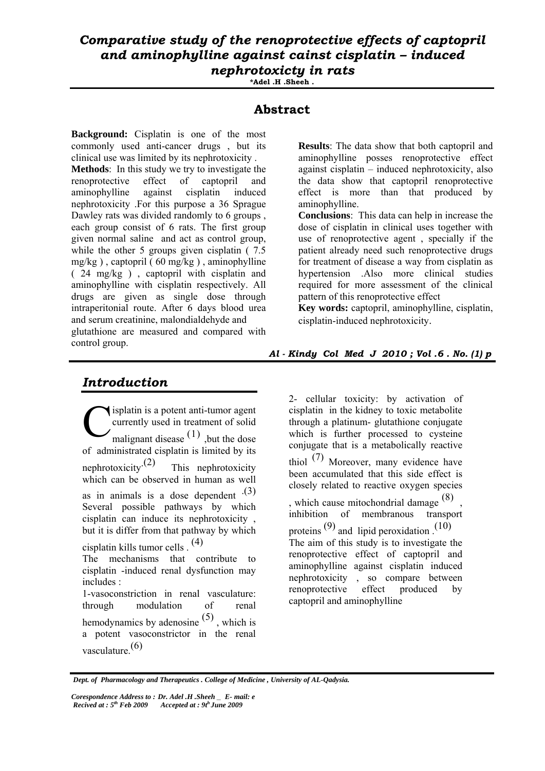## *Comparative study of the renoprotective effects of captopril and aminophylline against cainst cisplatin – induced nephrotoxicty in rats*

**\*Adel .H .Sheeh .**

### **Abstract**

**Background:** Cisplatin is one of the most commonly used anti-cancer drugs , but its clinical use was limited by its nephrotoxicity . **Methods**: In this study we try to investigate the renoprotective effect of captopril and aminophylline against cisplatin induced nephrotoxicity .For this purpose a 36 Sprague Dawley rats was divided randomly to 6 groups, each group consist of 6 rats. The first group given normal saline and act as control group, while the other 5 groups given cisplatin (7.5)  $mg/kg$ ), captopril (60 mg/kg), aminophylline ( 24 mg/kg ) , captopril with cisplatin and aminophylline with cisplatin respectively. All drugs are given as single dose through intraperitonial route. After 6 days blood urea and serum creatinine, malondialdehyde and glutathione are measured and compared with control group.

### *Introduction*

isplatin is a potent anti-tumor agent currently used in treatment of solid  $\sum$  malignant disease  $(1)$ , but the dose of administrated cisplatin is limited by its nephrotoxicity.<sup> $(2)$ </sup> This nephrotoxicity which can be observed in human as well as in animals is a dose dependent  $(3)$ Several possible pathways by which cisplatin can induce its nephrotoxicity , but it is differ from that pathway by which cisplatin kills tumor cells . (4) The mechanisms that contribute to cisplatin -induced renal dysfunction may includes : 1-vasoconstriction in renal vasculature: through modulation of renal hemodynamics by adenosine (5) , which is a potent vasoconstrictor in the renal vasculature.(6) C

**Results**: The data show that both captopril and aminophylline posses renoprotective effect against cisplatin – induced nephrotoxicity, also the data show that captopril renoprotective effect is more than that produced by aminophylline.

**Conclusions**: This data can help in increase the dose of cisplatin in clinical uses together with use of renoprotective agent , specially if the patient already need such renoprotective drugs for treatment of disease a way from cisplatin as hypertension .Also more clinical studies required for more assessment of the clinical pattern of this renoprotective effect

**Key words:** captopril, aminophylline, cisplatin, cisplatin-induced nephrotoxicity.

#### *Al - Kindy Col Med J 2010 ; Vol .6 . No. (1) p*

2- cellular toxicity: by activation of cisplatin in the kidney to toxic metabolite through a platinum- glutathione conjugate which is further processed to cysteine conjugate that is a metabolically reactive thiol (7) Moreover, many evidence have been accumulated that this side effect is closely related to reactive oxygen species , which cause mitochondrial damage  $(8)$ inhibition of membranous transport proteins  $(9)$  and lipid peroxidation  $(10)$ 

The aim of this study is to investigate the renoprotective effect of captopril and aminophylline against cisplatin induced nephrotoxicity , so compare between renoprotective effect produced by captopril and aminophylline

 *Dept. of Pharmacology and Therapeutics . College of Medicine , University of AL-Qadysia.*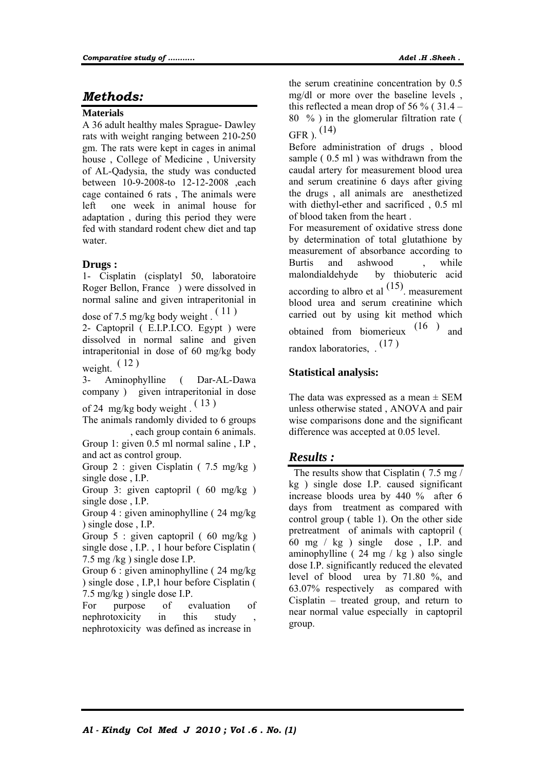### *Methods:*

#### **Materials**

A 36 adult healthy males Sprague- Dawley rats with weight ranging between 210-250 gm. The rats were kept in cages in animal house , College of Medicine , University of AL-Qadysia, the study was conducted between 10-9-2008-to 12-12-2008 ,each cage contained 6 rats , The animals were left one week in animal house for adaptation , during this period they were fed with standard rodent chew diet and tap water.

#### **Drugs :**

1- Cisplatin (cisplatyl 50, laboratoire Roger Bellon, France ) were dissolved in normal saline and given intraperitonial in

dose of 7.5 mg/kg body weight.  $(11)$ 

2- Captopril ( E.I.P.I.CO. Egypt ) were dissolved in normal saline and given intraperitonial in dose of 60 mg/kg body weight.  $(12)$ 

Aminophylline (Dar-AL-Dawa company ) given intraperitonial in dose

of 24 mg/kg body weight . ( 13 )

The animals randomly divided to 6 groups , each group contain 6 animals.

Group 1: given 0.5 ml normal saline, I.P, and act as control group.

Group 2 : given Cisplatin ( 7.5 mg/kg ) single dose , I.P.

Group 3: given captopril ( 60 mg/kg ) single dose , I.P.

Group 4 : given aminophylline ( 24 mg/kg ) single dose , I.P.

Group 5 : given captopril ( $60 \text{ mg/kg}$ ) single dose , I.P. , 1 hour before Cisplatin ( 7.5 mg /kg ) single dose I.P.

Group 6 : given aminophylline ( 24 mg/kg ) single dose , I.P,1 hour before Cisplatin ( 7.5 mg/kg ) single dose I.P.

For purpose of evaluation of nephrotoxicity in this study , nephrotoxicity was defined as increase in

the serum creatinine concentration by 0.5 mg/dl or more over the baseline levels , this reflected a mean drop of 56 % ( $31.4 -$ 80 % ) in the glomerular filtration rate ( GFR ). (14)

Before administration of drugs , blood sample ( $0.5$  ml) was withdrawn from the caudal artery for measurement blood urea and serum creatinine 6 days after giving the drugs , all animals are anesthetized with diethyl-ether and sacrificed , 0.5 ml of blood taken from the heart .

For measurement of oxidative stress done by determination of total glutathione by measurement of absorbance according to Burtis and ashwood , while malondialdehyde by thiobuteric acid according to albro et al  $(15)$ . measurement blood urea and serum creatinine which carried out by using kit method which obtained from biomerieux (16 ) and randox laboratories, . (17 )

### **Statistical analysis:**

The data was expressed as a mean  $\pm$  SEM unless otherwise stated , ANOVA and pair wise comparisons done and the significant difference was accepted at 0.05 level.

### *Results :*

The results show that Cisplatin (7.5 mg/ kg ) single dose I.P. caused significant increase bloods urea by 440 % after 6 days from treatment as compared with control group ( table 1). On the other side pretreatment of animals with captopril ( 60 mg / kg ) single dose , I.P. and aminophylline ( 24 mg / kg ) also single dose I.P. significantly reduced the elevated level of blood urea by 71.80 %, and 63.07% respectively as compared with Cisplatin – treated group, and return to near normal value especially in captopril group.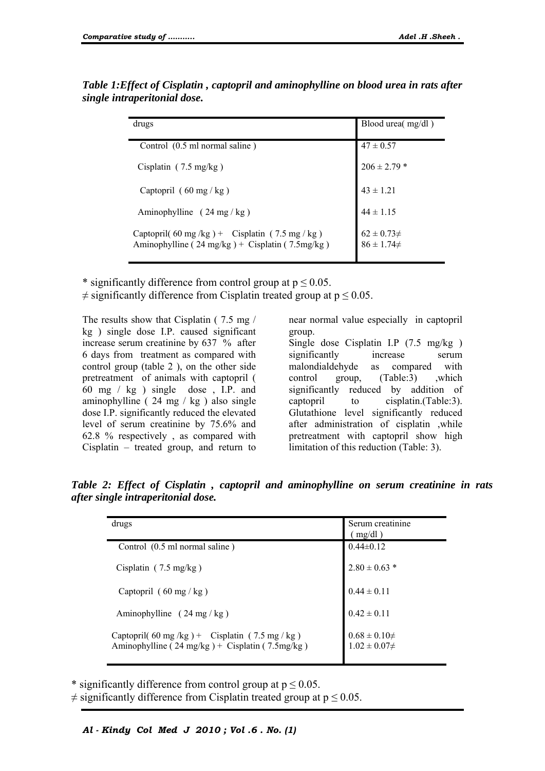| drugs                                                                                                                  | Blood urea( mg/dl)                       |
|------------------------------------------------------------------------------------------------------------------------|------------------------------------------|
| Control (0.5 ml normal saline)                                                                                         | $47 \pm 0.57$                            |
| Cisplatin $(7.5 \text{ mg/kg})$                                                                                        | $206 \pm 2.79$ *                         |
| Captopril $(60 \text{ mg/kg})$                                                                                         | $43 \pm 1.21$                            |
| Aminophylline $(24 \text{ mg/kg})$                                                                                     | $44 \pm 1.15$                            |
| Captopril(60 mg/kg) + Cisplatin (7.5 mg/kg)<br>Aminophylline ( $24 \text{ mg/kg}$ ) + Cisplatin ( $7.5 \text{mg/kg}$ ) | $62 \pm 0.73 \neq$<br>$86 \pm 1.74 \neq$ |

*Table 1:Effect of Cisplatin , captopril and aminophylline on blood urea in rats after single intraperitonial dose.* 

\* significantly difference from control group at  $p \le 0.05$ .

 $\neq$  significantly difference from Cisplatin treated group at  $p \leq 0.05$ .

The results show that Cisplatin ( 7.5 mg / kg ) single dose I.P. caused significant increase serum creatinine by 637 % after 6 days from treatment as compared with control group (table 2 ), on the other side pretreatment of animals with captopril ( 60 mg / kg ) single dose , I.P. and aminophylline ( $24 \text{ mg}$  / kg) also single dose I.P. significantly reduced the elevated level of serum creatinine by 75.6% and 62.8 % respectively , as compared with Cisplatin – treated group, and return to near normal value especially in captopril group.

Single dose Cisplatin I.P (7.5 mg/kg ) significantly increase serum malondialdehyde as compared with control group, (Table:3) ,which significantly reduced by addition of captopril to cisplatin.(Table:3). Glutathione level significantly reduced after administration of cisplatin ,while pretreatment with captopril show high limitation of this reduction (Table: 3).

| drugs                                                                                           | Serum creatinine<br>(mg/dl)                  |
|-------------------------------------------------------------------------------------------------|----------------------------------------------|
| Control (0.5 ml normal saline)                                                                  | $0.44\pm0.12$                                |
| Cisplatin $(7.5 \text{ mg/kg})$                                                                 | $2.80 \pm 0.63$ *                            |
| Captopril $(60 \text{ mg/kg})$                                                                  | $0.44 \pm 0.11$                              |
| Aminophylline $(24 \text{ mg/kg})$                                                              | $0.42 \pm 0.11$                              |
| Captopril(60 mg/kg) + Cisplatin (7.5 mg/kg)<br>Aminophylline (24 mg/kg) + Cisplatin (7.5 mg/kg) | $0.68 \pm 0.10 \neq$<br>$1.02 \pm 0.07 \neq$ |

*Table 2: Effect of Cisplatin , captopril and aminophylline on serum creatinine in rats after single intraperitonial dose.* 

\* significantly difference from control group at  $p \le 0.05$ .

 $\neq$  significantly difference from Cisplatin treated group at  $p \le 0.05$ .

*Al - Kindy Col Med J 2010 ; Vol .6 . No. (1)*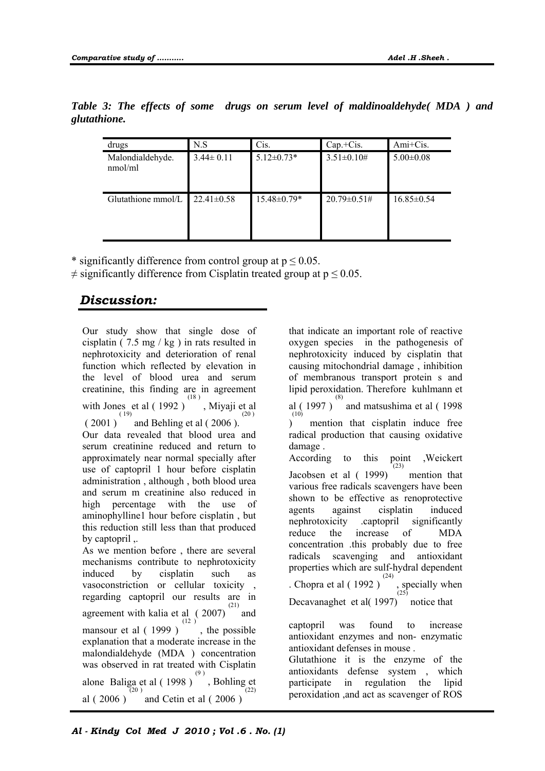| drugs                       | N.S              | Cis.              | $Cap.+Cis.$         | Ami+Cis.         |
|-----------------------------|------------------|-------------------|---------------------|------------------|
| Malondialdehyde.<br>nmol/ml | $3.44 \pm 0.11$  | $5.12 \pm 0.73*$  | $3.51 \pm 0.10 \#$  | $5.00 \pm 0.08$  |
| Glutathione mmol/L          | $22.41 \pm 0.58$ | $15.48 \pm 0.79*$ | $20.79 \pm 0.51 \#$ | $16.85 \pm 0.54$ |

*Table 3: The effects of some drugs on serum level of maldinoaldehyde( MDA ) and glutathione.* 

\* significantly difference from control group at  $p \le 0.05$ .

 $\neq$  significantly difference from Cisplatin treated group at  $p \le 0.05$ .

# *Discussion:*

Our study show that single dose of cisplatin ( 7.5 mg / kg ) in rats resulted in nephrotoxicity and deterioration of renal function which reflected by elevation in the level of blood urea and serum creatinine, this finding are in agreement with Jones et al  $(1992)^{(18)}$ , Miyaji et al  $(2001)^{(19)}$  and Behling et al (2006). (20 ) Our data revealed that blood urea and serum creatinine reduced and return to approximately near normal specially after use of captopril 1 hour before cisplatin administration , although , both blood urea and serum m creatinine also reduced in high percentage with the use of aminophylline1 hour before cisplatin , but this reduction still less than that produced by captopril ,. As we mention before , there are several mechanisms contribute to nephrotoxicity induced by cisplatin such as vasoconstriction or cellular toxicity , regarding captopril our results are in agreement with kalia et al  $(2007)^{(21)}$ and mansour et al  $(1999)$ , the possible  $(12)$ explanation that a moderate increase in the malondialdehyde (MDA ) concentration was observed in rat treated with Cisplatin alone Baliga et al ( 1998 )  $(9)$ , Bohling et al ( 2006 ) (20 ) and Cetin et al ( 2006 ) (22) that indicate an important role of reactive oxygen species in the pathogenesis of nephrotoxicity induced by cisplatin that causing mitochondrial damage , inhibition of membranous transport protein s and lipid peroxidation. Therefore kuhlmann et al (1997)<sup>(8)</sup> and matsushima et al (1998)  $\mathcal{L}$  $(10)$ mention that cisplatin induce free radical production that causing oxidative damage . According to this point ,Weickert Jacobsen et al ( 1999)  $(23)$  mention that various free radicals scavengers have been shown to be effective as renoprotective agents against cisplatin induced nephrotoxicity .captopril significantly reduce the increase of MDA concentration .this probably due to free radicals scavenging and antioxidant properties which are sulf-hydral dependent . Chopra et al  $(1992)$  $\sum_{(25)}^{\text{(24)}}$  specially when Decavanaghet et al(1997) notice that captopril was found to increase antioxidant enzymes and non- enzymatic antioxidant defenses in mouse .

Glutathione it is the enzyme of the antioxidants defense system , which participate in regulation the lipid peroxidation ,and act as scavenger of ROS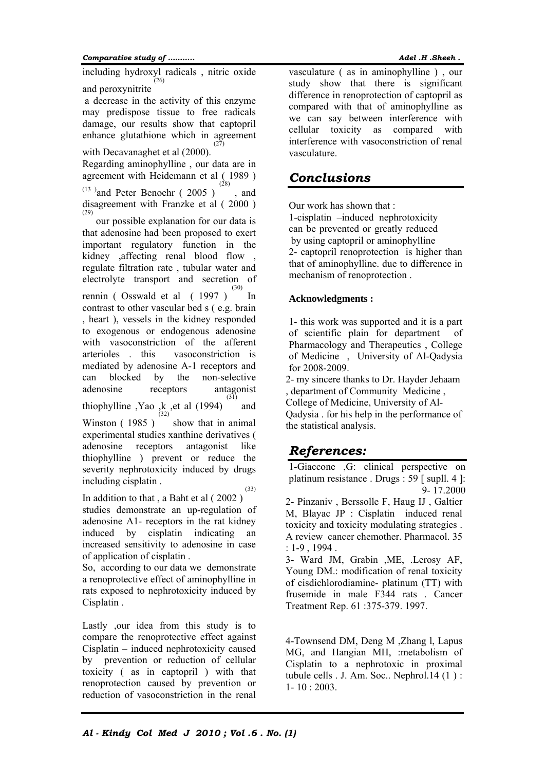#### *Comparative study of ……….. Adel .H .Sheeh .*

including hydroxyl radicals , nitric oxide and peroxynitrite (26)

 a decrease in the activity of this enzyme may predispose tissue to free radicals damage, our results show that captopril enhance glutathione which in agreement  $(27)$ 

with Decavanaghet et al (2000).

Regarding aminophylline , our data are in agreement with Heidemann et al ( 1989 )  $(13)$  and Peter Benoehr (2005) (28) , and disagreement with Franzke et al ( 2000 ) (29)

 our possible explanation for our data is that adenosine had been proposed to exert important regulatory function in the kidney ,affecting renal blood flow , regulate filtration rate , tubular water and electrolyte transport and secretion of rennin ( Osswald et al ( 1997 ) (30) In contrast to other vascular bed s ( e.g. brain , heart ), vessels in the kidney responded to exogenous or endogenous adenosine with vasoconstriction of the afferent arterioles . this vasoconstriction is mediated by adenosine A-1 receptors and can blocked by the non-selective adenosine receptors antagonist thiophylline , Yao , k , et al  $(1994)$ <sup>(31)</sup> and Winston ( 1985 ) (32) show that in animal

experimental studies xanthine derivatives ( adenosine receptors antagonist like thiophylline ) prevent or reduce the severity nephrotoxicity induced by drugs including cisplatin .

In addition to that , a Baht et al ( 2002 ) (33) studies demonstrate an up-regulation of adenosine A1- receptors in the rat kidney induced by cisplatin indicating an increased sensitivity to adenosine in case of application of cisplatin .

So, according to our data we demonstrate a renoprotective effect of aminophylline in rats exposed to nephrotoxicity induced by Cisplatin .

Lastly ,our idea from this study is to compare the renoprotective effect against Cisplatin – induced nephrotoxicity caused by prevention or reduction of cellular toxicity ( as in captopril ) with that renoprotection caused by prevention or reduction of vasoconstriction in the renal

vasculature ( as in aminophylline ) , our study show that there is significant difference in renoprotection of captopril as compared with that of aminophylline as we can say between interference with cellular toxicity as compared with interference with vasoconstriction of renal vasculature.

## *Conclusions*

Our work has shown that :

1-cisplatin –induced nephrotoxicity can be prevented or greatly reduced by using captopril or aminophylline 2- captopril renoprotection is higher than that of aminophylline. due to difference in mechanism of renoprotection .

#### **Acknowledgments :**

1- this work was supported and it is a part of scientific plain for department of Pharmacology and Therapeutics , College of Medicine , University of Al-Qadysia for 2008-2009.

2- my sincere thanks to Dr. Hayder Jehaam , department of Community Medicine ,

College of Medicine, University of Al-

Qadysia . for his help in the performance of the statistical analysis.

# *References:*

1-Giaccone ,G: clinical perspective on platinum resistance . Drugs : 59 [ supll. 4 ]: 9- 17.2000

2- Pinzaniv , Berssolle F, Haug IJ , Galtier M, Blayac JP : Cisplatin induced renal toxicity and toxicity modulating strategies . A review cancer chemother. Pharmacol. 35 : 1-9 , 1994 .

3- Ward JM, Grabin ,ME, .Lerosy AF, Young DM.: modification of renal toxicity of cisdichlorodiamine- platinum (TT) with frusemide in male F344 rats . Cancer Treatment Rep. 61 :375-379. 1997.

4-Townsend DM, Deng M ,Zhang l, Lapus MG, and Hangian MH, :metabolism of Cisplatin to a nephrotoxic in proximal tubule cells . J. Am. Soc.. Nephrol.14 (1 ) : 1- 10 : 2003.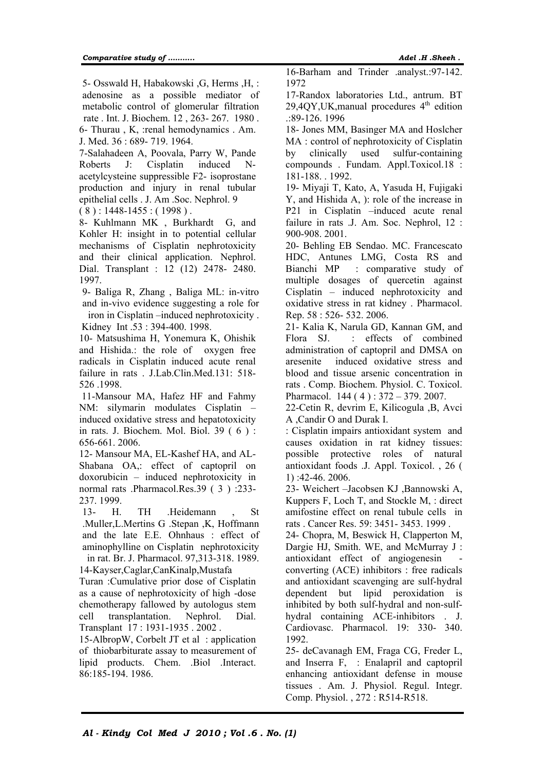5- Osswald H, Habakowski ,G, Herms ,H, : adenosine as a possible mediator of metabolic control of glomerular filtration rate . Int. J. Biochem. 12 , 263- 267. 1980 . 6- Thurau , K, :renal hemodynamics . Am. J. Med. 36 : 689- 719. 1964.

7-Salahadeen A, Poovala, Parry W, Pande Roberts J: Cisplatin induced Nacetylcysteine suppressible F2- isoprostane production and injury in renal tubular epithelial cells . J. Am .Soc. Nephrol. 9

 $(8)$ : 1448-1455 : (1998).

8- Kuhlmann MK , Burkhardt G, and Kohler H: insight in to potential cellular mechanisms of Cisplatin nephrotoxicity and their clinical application. Nephrol. Dial. Transplant : 12 (12) 2478- 2480. 1997.

9- Baliga R, Zhang , Baliga ML: in-vitro and in-vivo evidence suggesting a role for

iron in Cisplatin –induced nephrotoxicity . Kidney Int .53 : 394-400. 1998.

10- Matsushima H, Yonemura K, Ohishik and Hishida.: the role of oxygen free radicals in Cisplatin induced acute renal failure in rats . J.Lab.Clin.Med.131: 518- 526 .1998.

 11-Mansour MA, Hafez HF and Fahmy NM: silymarin modulates Cisplatin – induced oxidative stress and hepatotoxicity in rats. J. Biochem. Mol. Biol. 39 ( 6 ) : 656-661. 2006.

12- Mansour MA, EL-Kashef HA, and AL-Shabana OA,: effect of captopril on doxorubicin – induced nephrotoxicity in normal rats .Pharmacol.Res.39 ( 3 ) :233- 237. 1999.

13- H. TH .Heidemann , St .Muller,L.Mertins G .Stepan ,K, Hoffmann and the late E.E. Ohnhaus : effect of aminophylline on Cisplatin nephrotoxicity in rat. Br. J. Pharmacol. 97,313-318. 1989.

14-Kayser,Caglar,CanKinalp,Mustafa

Turan :Cumulative prior dose of Cisplatin as a cause of nephrotoxicity of high -dose chemotherapy fallowed by autologus stem cell transplantation. Nephrol. Dial. Transplant 17 : 1931-1935 . 2002 .

15-AlbropW, Corbelt JT et al : application of thiobarbiturate assay to measurement of lipid products. Chem. .Biol .Interact. 86:185-194. 1986.

16-Barham and Trinder .analyst.:97-142. 1972

17-Randox laboratories Ltd., antrum. BT 29,40Y, UK, manual procedures  $4<sup>th</sup>$  edition .:89-126. 1996

18- Jones MM, Basinger MA and Hoslcher MA : control of nephrotoxicity of Cisplatin by clinically used sulfur-containing compounds . Fundam. Appl.Toxicol.18 : 181-188. . 1992.

19- Miyaji T, Kato, A, Yasuda H, Fujigaki Y, and Hishida A, ): role of the increase in P21 in Cisplatin –induced acute renal failure in rats .J. Am. Soc. Nephrol, 12 : 900-908. 2001.

20- Behling EB Sendao. MC. Francescato HDC, Antunes LMG, Costa RS and Bianchi MP : comparative study of multiple dosages of quercetin against Cisplatin – induced nephrotoxicity and oxidative stress in rat kidney . Pharmacol. Rep. 58 : 526- 532. 2006.

21- Kalia K, Narula GD, Kannan GM, and Flora SJ. : effects of combined administration of captopril and DMSA on aresenite induced oxidative stress and blood and tissue arsenic concentration in rats . Comp. Biochem. Physiol. C. Toxicol. Pharmacol. 144 ( 4 ) : 372 – 379. 2007.

22-Cetin R, devrim E, Kilicogula ,B, Avci A ,Candir O and Durak I.

: Cisplatin impairs antioxidant system and causes oxidation in rat kidney tissues: possible protective roles of natural antioxidant foods .J. Appl. Toxicol. , 26 ( 1) :42-46. 2006.

23- Weichert –Jacobsen KJ ,Bannowski A, Kuppers F, Loch T, and Stockle M, : direct amifostine effect on renal tubule cells in rats . Cancer Res. 59: 3451- 3453. 1999 .

24- Chopra, M, Beswick H, Clapperton M, Dargie HJ, Smith. WE, and McMurray J: antioxidant effect of angiogenesin converting (ACE) inhibitors : free radicals and antioxidant scavenging are sulf-hydral dependent but lipid peroxidation is inhibited by both sulf-hydral and non-sulfhydral containing ACE-inhibitors . J. Cardiovasc. Pharmacol. 19: 330- 340. 1992.

25- deCavanagh EM, Fraga CG, Freder L, and Inserra F, : Enalapril and captopril enhancing antioxidant defense in mouse tissues . Am. J. Physiol. Regul. Integr. Comp. Physiol. , 272 : R514-R518.